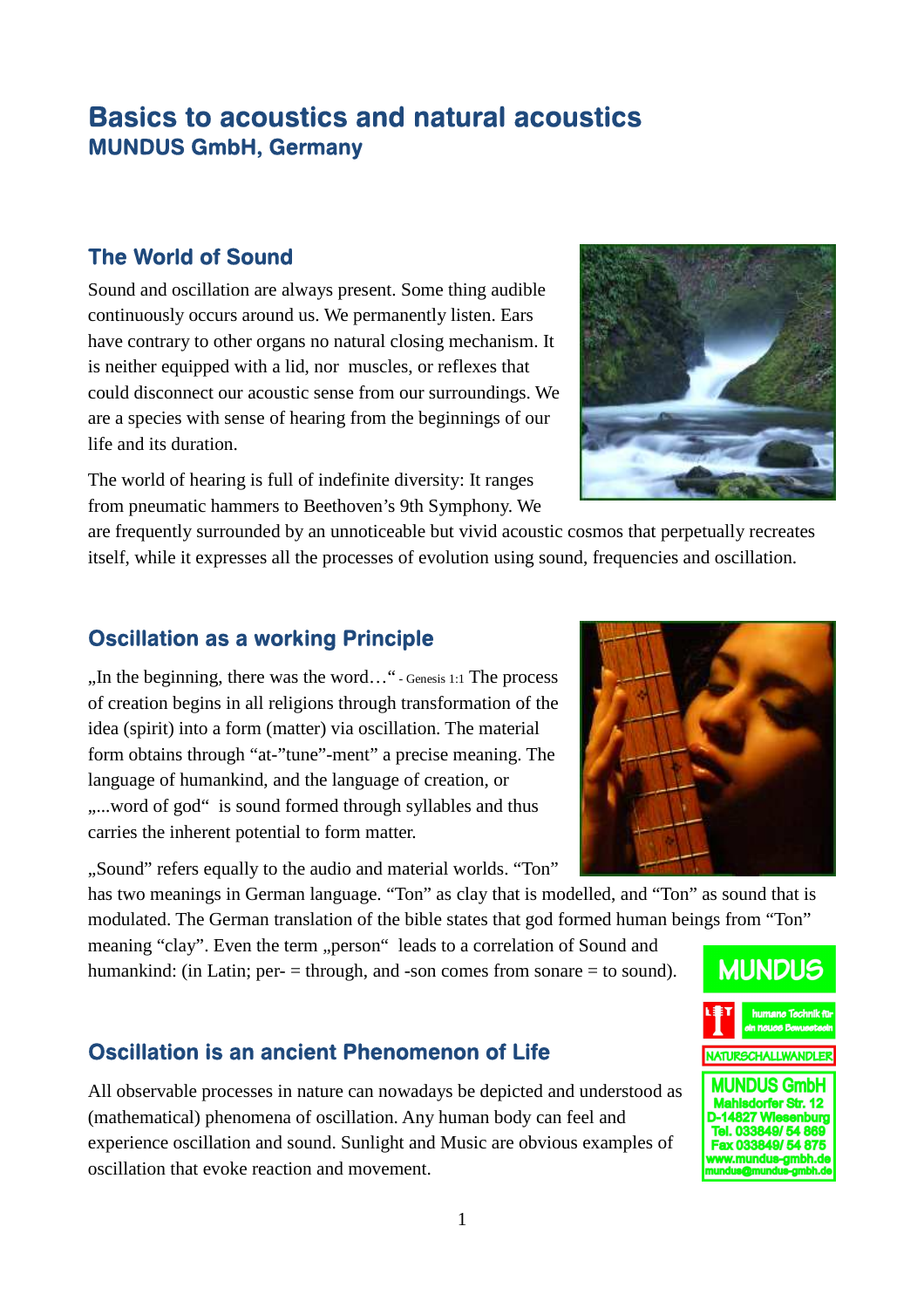# Basics to acoustics and natural acoustics MUNDUS GmbH, Germany

### The World of Sound

Sound and oscillation are always present. Some thing audible continuously occurs around us. We permanently listen. Ears have contrary to other organs no natural closing mechanism. It is neither equipped with a lid, nor muscles, or reflexes that could disconnect our acoustic sense from our surroundings. We are a species with sense of hearing from the beginnings of our life and its duration.



The world of hearing is full of indefinite diversity: It ranges from pneumatic hammers to Beethoven's 9th Symphony. We

are frequently surrounded by an unnoticeable but vivid acoustic cosmos that perpetually recreates itself, while it expresses all the processes of evolution using sound, frequencies and oscillation.

### Oscillation as a working Principle

 $\ldots$  In the beginning, there was the word $\ldots$  " - Genesis 1:1 The process of creation begins in all religions through transformation of the idea (spirit) into a form (matter) via oscillation. The material form obtains through "at-"tune"-ment" a precise meaning. The language of humankind, and the language of creation, or ....word of god" is sound formed through syllables and thus carries the inherent potential to form matter.

. Sound" refers equally to the audio and material worlds. "Ton"

has two meanings in German language. "Ton" as clay that is modelled, and "Ton" as sound that is modulated. The German translation of the bible states that god formed human beings from "Ton"

meaning "clay". Even the term "person" leads to a correlation of Sound and humankind: (in Latin; per-  $=$  through, and -son comes from sonare  $=$  to sound).

### Oscillation is an ancient Phenomenon of Life

All observable processes in nature can nowadays be depicted and understood as (mathematical) phenomena of oscillation. Any human body can feel and experience oscillation and sound. Sunlight and Music are obvious examples of oscillation that evoke reaction and movement.



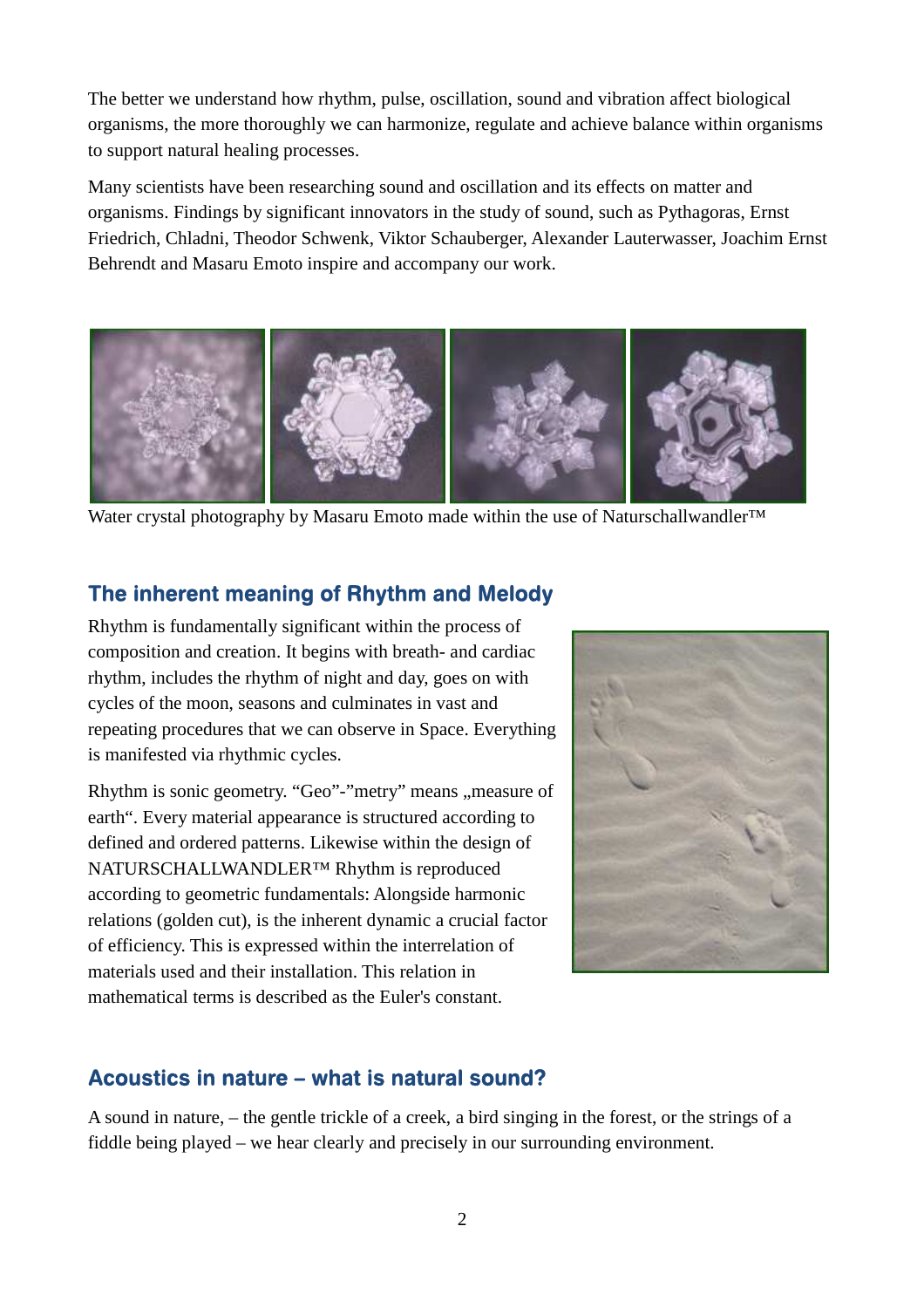The better we understand how rhythm, pulse, oscillation, sound and vibration affect biological organisms, the more thoroughly we can harmonize, regulate and achieve balance within organisms to support natural healing processes.

Many scientists have been researching sound and oscillation and its effects on matter and organisms. Findings by significant innovators in the study of sound, such as Pythagoras, Ernst Friedrich, Chladni, Theodor Schwenk, Viktor Schauberger, Alexander Lauterwasser, Joachim Ernst Behrendt and Masaru Emoto inspire and accompany our work.



Water crystal photography by Masaru Emoto made within the use of Naturschallwandler<sup>™</sup>

### The inherent meaning of Rhythm and Melody

Rhythm is fundamentally significant within the process of composition and creation. It begins with breath- and cardiac rhythm, includes the rhythm of night and day, goes on with cycles of the moon, seasons and culminates in vast and repeating procedures that we can observe in Space. Everything is manifested via rhythmic cycles.

Rhythm is sonic geometry. "Geo"-"metry" means "measure of earth". Every material appearance is structured according to defined and ordered patterns. Likewise within the design of NATURSCHALLWANDLER™ Rhythm is reproduced according to geometric fundamentals: Alongside harmonic relations (golden cut), is the inherent dynamic a crucial factor of efficiency. This is expressed within the interrelation of materials used and their installation. This relation in mathematical terms is described as the Euler's constant.



### Acoustics in nature – what is natural sound?

A sound in nature, – the gentle trickle of a creek, a bird singing in the forest, or the strings of a fiddle being played – we hear clearly and precisely in our surrounding environment.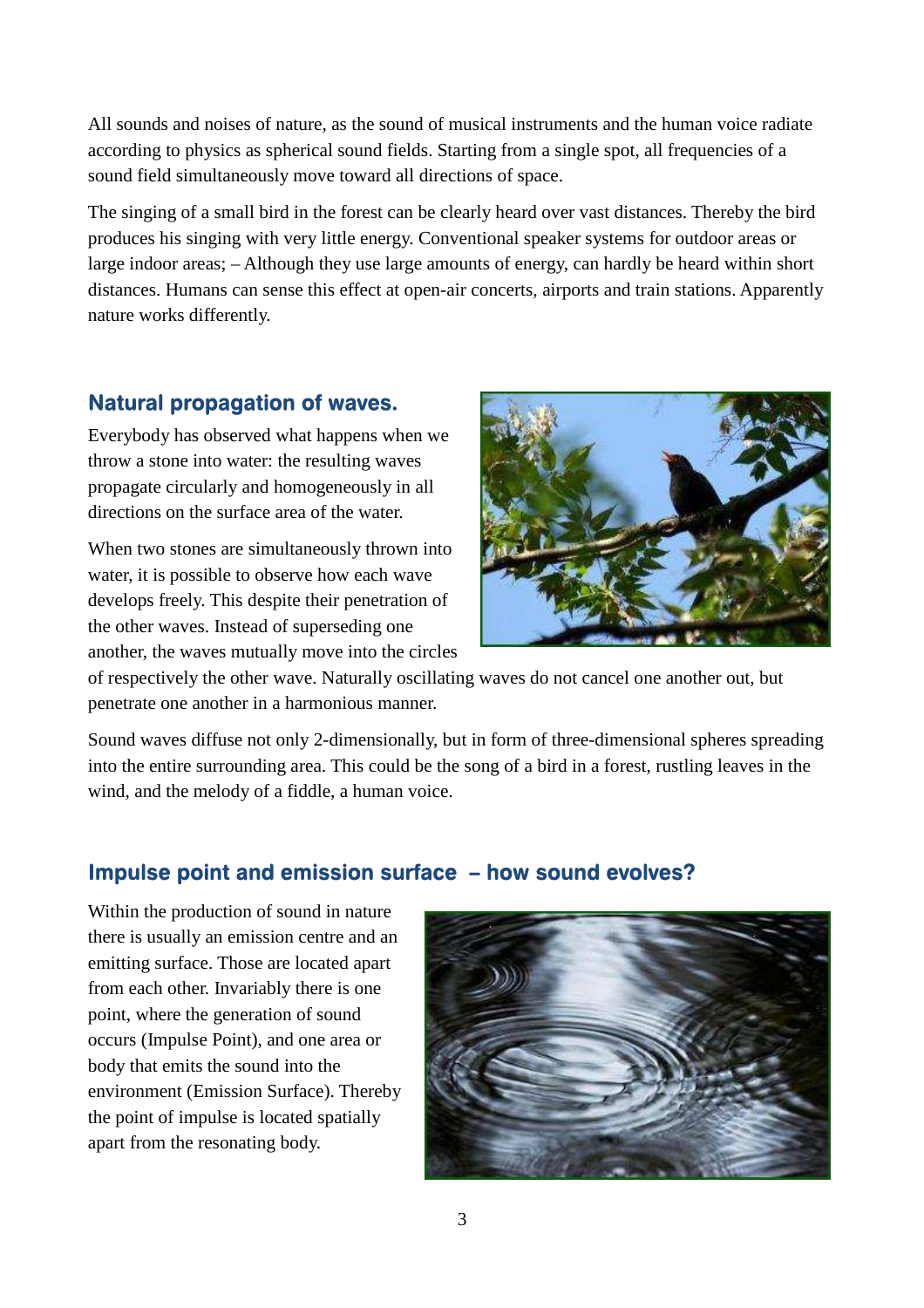All sounds and noises of nature, as the sound of musical instruments and the human voice radiate according to physics as spherical sound fields. Starting from a single spot, all frequencies of a sound field simultaneously move toward all directions of space.

The singing of a small bird in the forest can be clearly heard over vast distances. Thereby the bird produces his singing with very little energy. Conventional speaker systems for outdoor areas or large indoor areas; – Although they use large amounts of energy, can hardly be heard within short distances. Humans can sense this effect at open-air concerts, airports and train stations. Apparently nature works differently.

### Natural propagation of waves.

Everybody has observed what happens when we throw a stone into water: the resulting waves propagate circularly and homogeneously in all directions on the surface area of the water.

When two stones are simultaneously thrown into water, it is possible to observe how each wave develops freely. This despite their penetration of the other waves. Instead of superseding one another, the waves mutually move into the circles



of respectively the other wave. Naturally oscillating waves do not cancel one another out, but penetrate one another in a harmonious manner.

Sound waves diffuse not only 2-dimensionally, but in form of three-dimensional spheres spreading into the entire surrounding area. This could be the song of a bird in a forest, rustling leaves in the wind, and the melody of a fiddle, a human voice.

# Impulse point and emission surface – how sound evolves?

Within the production of sound in nature there is usually an emission centre and an emitting surface. Those are located apart from each other. Invariably there is one point, where the generation of sound occurs (Impulse Point), and one area or body that emits the sound into the environment (Emission Surface). Thereby the point of impulse is located spatially apart from the resonating body.

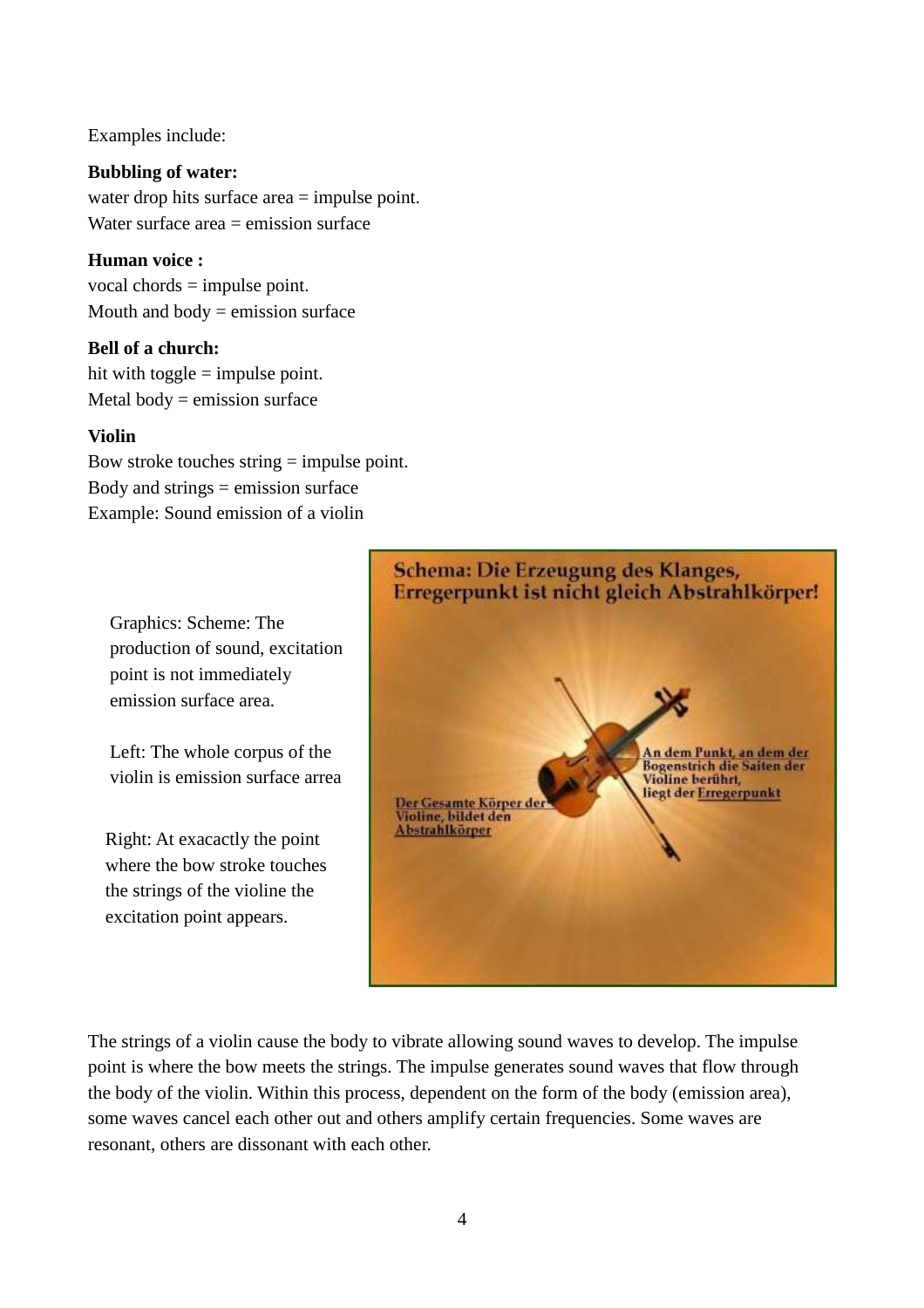#### Examples include:

**Bubbling of water:** water drop hits surface area = impulse point. Water surface area = emission surface

**Human voice :**  vocal chords = impulse point. Mouth and body  $=$  emission surface

#### **Bell of a church:**

hit with toggle  $=$  impulse point. Metal body  $=$  emission surface

#### **Violin**

Bow stroke touches string = impulse point. Body and strings  $=$  emission surface Example: Sound emission of a violin

Graphics: Scheme: The production of sound, excitation point is not immediately emission surface area.

Left: The whole corpus of the violin is emission surface arrea

Right: At exacactly the point where the bow stroke touches the strings of the violine the excitation point appears.



The strings of a violin cause the body to vibrate allowing sound waves to develop. The impulse point is where the bow meets the strings. The impulse generates sound waves that flow through the body of the violin. Within this process, dependent on the form of the body (emission area), some waves cancel each other out and others amplify certain frequencies. Some waves are resonant, others are dissonant with each other.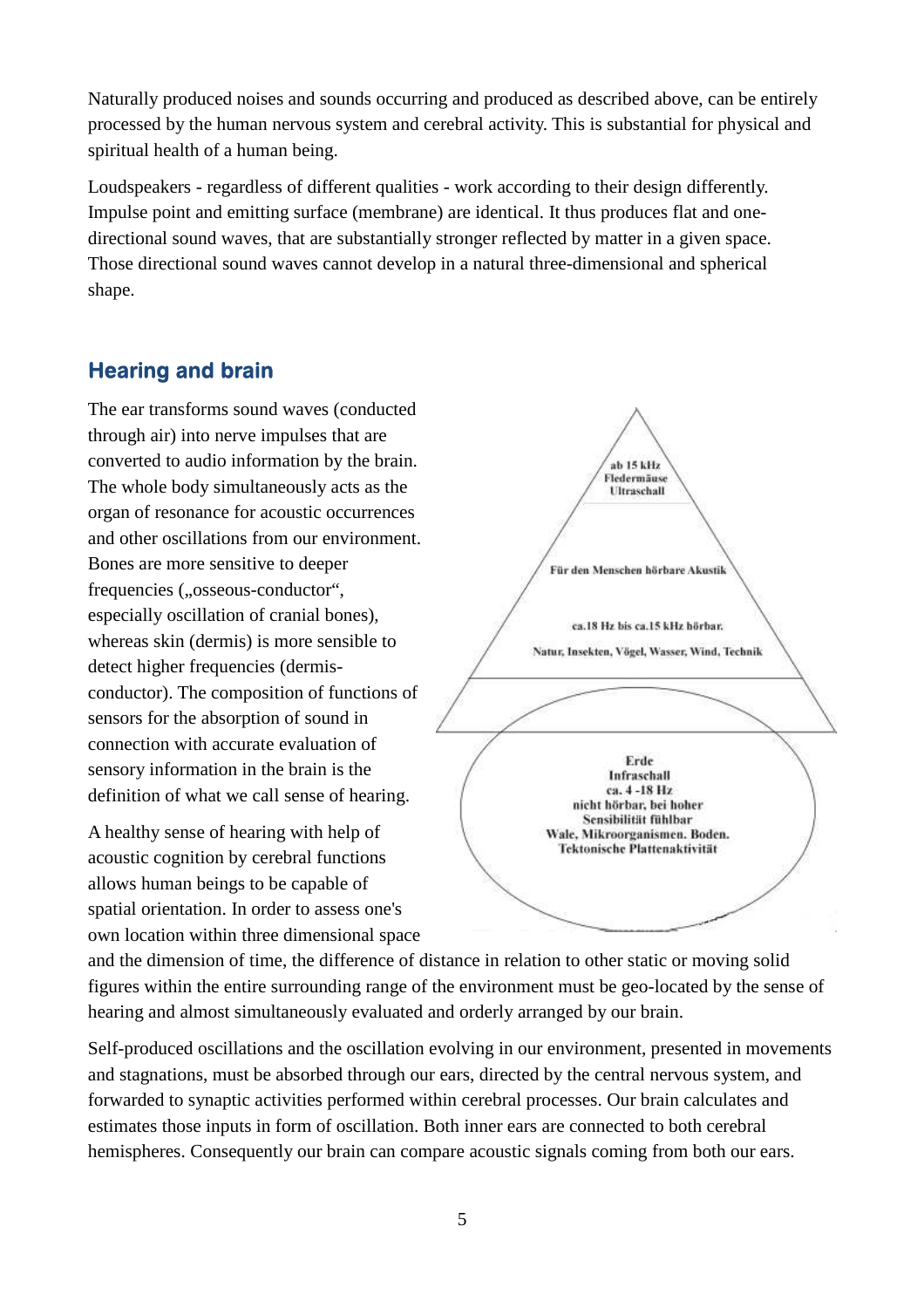Naturally produced noises and sounds occurring and produced as described above, can be entirely processed by the human nervous system and cerebral activity. This is substantial for physical and spiritual health of a human being.

Loudspeakers - regardless of different qualities - work according to their design differently. Impulse point and emitting surface (membrane) are identical. It thus produces flat and onedirectional sound waves, that are substantially stronger reflected by matter in a given space. Those directional sound waves cannot develop in a natural three-dimensional and spherical shape.

# Hearing and brain

The ear transforms sound waves (conducted through air) into nerve impulses that are converted to audio information by the brain. The whole body simultaneously acts as the organ of resonance for acoustic occurrences and other oscillations from our environment. Bones are more sensitive to deeper frequencies ("osseous-conductor", especially oscillation of cranial bones), whereas skin (dermis) is more sensible to detect higher frequencies (dermisconductor). The composition of functions of sensors for the absorption of sound in connection with accurate evaluation of sensory information in the brain is the definition of what we call sense of hearing.

A healthy sense of hearing with help of acoustic cognition by cerebral functions allows human beings to be capable of spatial orientation. In order to assess one's own location within three dimensional space



and the dimension of time, the difference of distance in relation to other static or moving solid figures within the entire surrounding range of the environment must be geo-located by the sense of hearing and almost simultaneously evaluated and orderly arranged by our brain.

Self-produced oscillations and the oscillation evolving in our environment, presented in movements and stagnations, must be absorbed through our ears, directed by the central nervous system, and forwarded to synaptic activities performed within cerebral processes. Our brain calculates and estimates those inputs in form of oscillation. Both inner ears are connected to both cerebral hemispheres. Consequently our brain can compare acoustic signals coming from both our ears.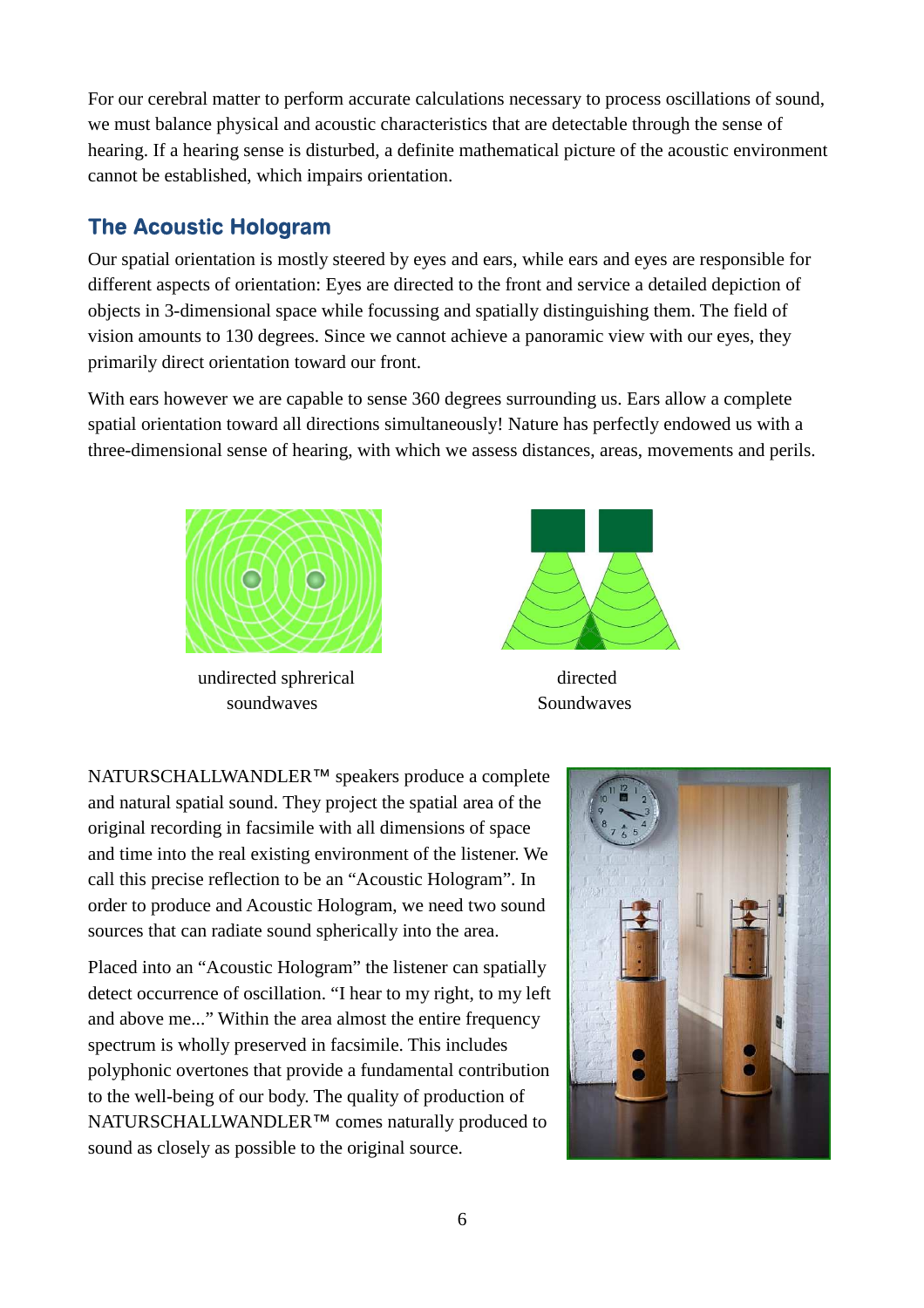For our cerebral matter to perform accurate calculations necessary to process oscillations of sound, we must balance physical and acoustic characteristics that are detectable through the sense of hearing. If a hearing sense is disturbed, a definite mathematical picture of the acoustic environment cannot be established, which impairs orientation.

# The Acoustic Hologram

Our spatial orientation is mostly steered by eyes and ears, while ears and eyes are responsible for different aspects of orientation: Eyes are directed to the front and service a detailed depiction of objects in 3-dimensional space while focussing and spatially distinguishing them. The field of vision amounts to 130 degrees. Since we cannot achieve a panoramic view with our eyes, they primarily direct orientation toward our front.

With ears however we are capable to sense 360 degrees surrounding us. Ears allow a complete spatial orientation toward all directions simultaneously! Nature has perfectly endowed us with a three-dimensional sense of hearing, with which we assess distances, areas, movements and perils.



 undirected sphrerical directed soundwaves Soundwaves



NATURSCHALLWANDLER™ speakers produce a complete and natural spatial sound. They project the spatial area of the original recording in facsimile with all dimensions of space and time into the real existing environment of the listener. We call this precise reflection to be an "Acoustic Hologram". In order to produce and Acoustic Hologram, we need two sound sources that can radiate sound spherically into the area.

Placed into an "Acoustic Hologram" the listener can spatially detect occurrence of oscillation. "I hear to my right, to my left and above me..." Within the area almost the entire frequency spectrum is wholly preserved in facsimile. This includes polyphonic overtones that provide a fundamental contribution to the well-being of our body. The quality of production of NATURSCHALLWANDLER<sup>™</sup> comes naturally produced to sound as closely as possible to the original source.

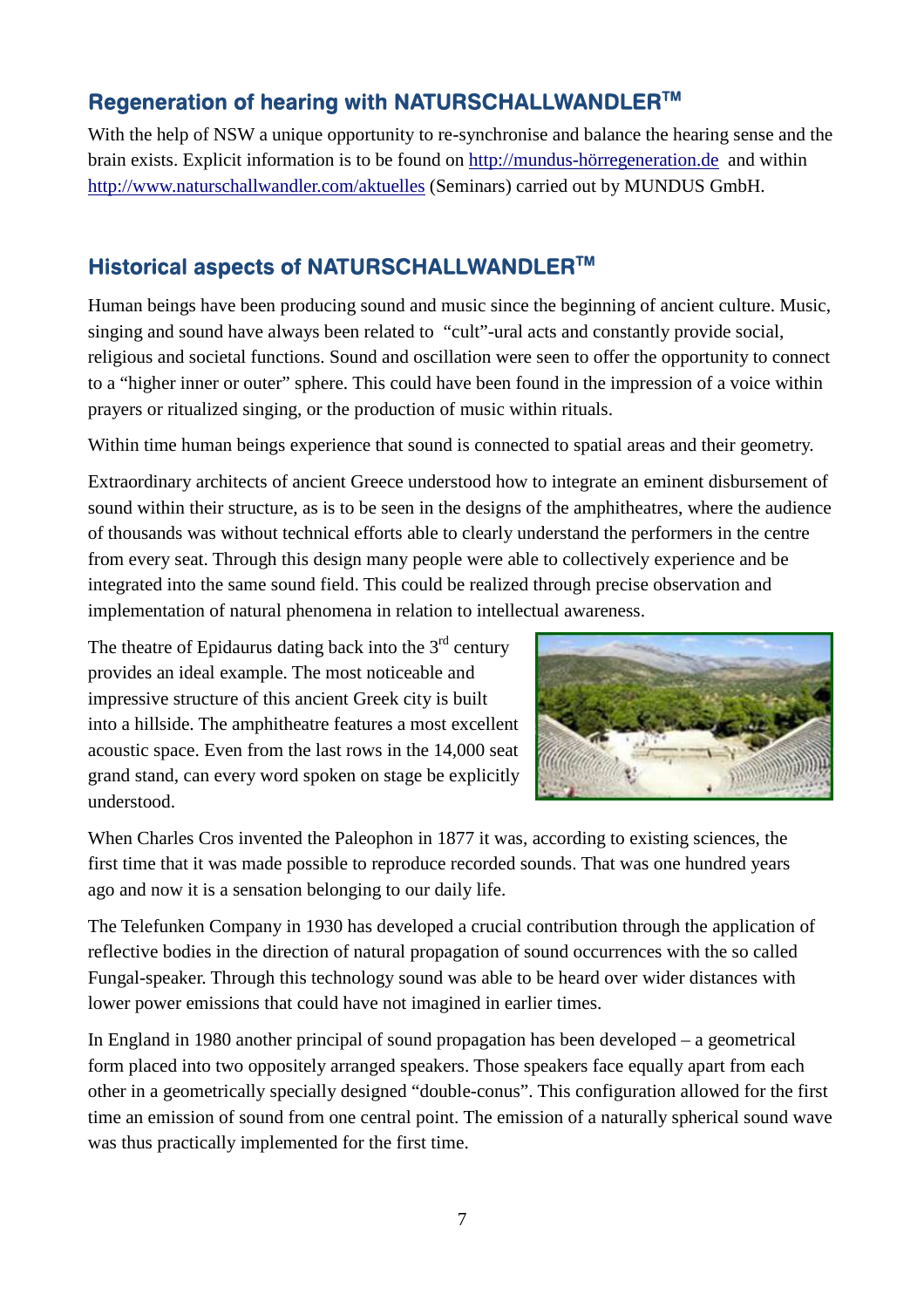# Regeneration of hearing with NATURSCHALLWANDLER™

With the help of NSW a unique opportunity to re-synchronise and balance the hearing sense and the brain exists. Explicit information is to be found on http://mundus-hörregeneration.de and within http://www.naturschallwandler.com/aktuelles (Seminars) carried out by MUNDUS GmbH.

### Historical aspects of NATURSCHALLWANDLERTM

Human beings have been producing sound and music since the beginning of ancient culture. Music, singing and sound have always been related to "cult"-ural acts and constantly provide social, religious and societal functions. Sound and oscillation were seen to offer the opportunity to connect to a "higher inner or outer" sphere. This could have been found in the impression of a voice within prayers or ritualized singing, or the production of music within rituals.

Within time human beings experience that sound is connected to spatial areas and their geometry.

Extraordinary architects of ancient Greece understood how to integrate an eminent disbursement of sound within their structure, as is to be seen in the designs of the amphitheatres, where the audience of thousands was without technical efforts able to clearly understand the performers in the centre from every seat. Through this design many people were able to collectively experience and be integrated into the same sound field. This could be realized through precise observation and implementation of natural phenomena in relation to intellectual awareness.

The theatre of Epidaurus dating back into the  $3<sup>rd</sup>$  century provides an ideal example. The most noticeable and impressive structure of this ancient Greek city is built into a hillside. The amphitheatre features a most excellent acoustic space. Even from the last rows in the 14,000 seat grand stand, can every word spoken on stage be explicitly understood.



When Charles Cros invented the Paleophon in 1877 it was, according to existing sciences, the first time that it was made possible to reproduce recorded sounds. That was one hundred years ago and now it is a sensation belonging to our daily life.

The Telefunken Company in 1930 has developed a crucial contribution through the application of reflective bodies in the direction of natural propagation of sound occurrences with the so called Fungal-speaker. Through this technology sound was able to be heard over wider distances with lower power emissions that could have not imagined in earlier times.

In England in 1980 another principal of sound propagation has been developed – a geometrical form placed into two oppositely arranged speakers. Those speakers face equally apart from each other in a geometrically specially designed "double-conus". This configuration allowed for the first time an emission of sound from one central point. The emission of a naturally spherical sound wave was thus practically implemented for the first time.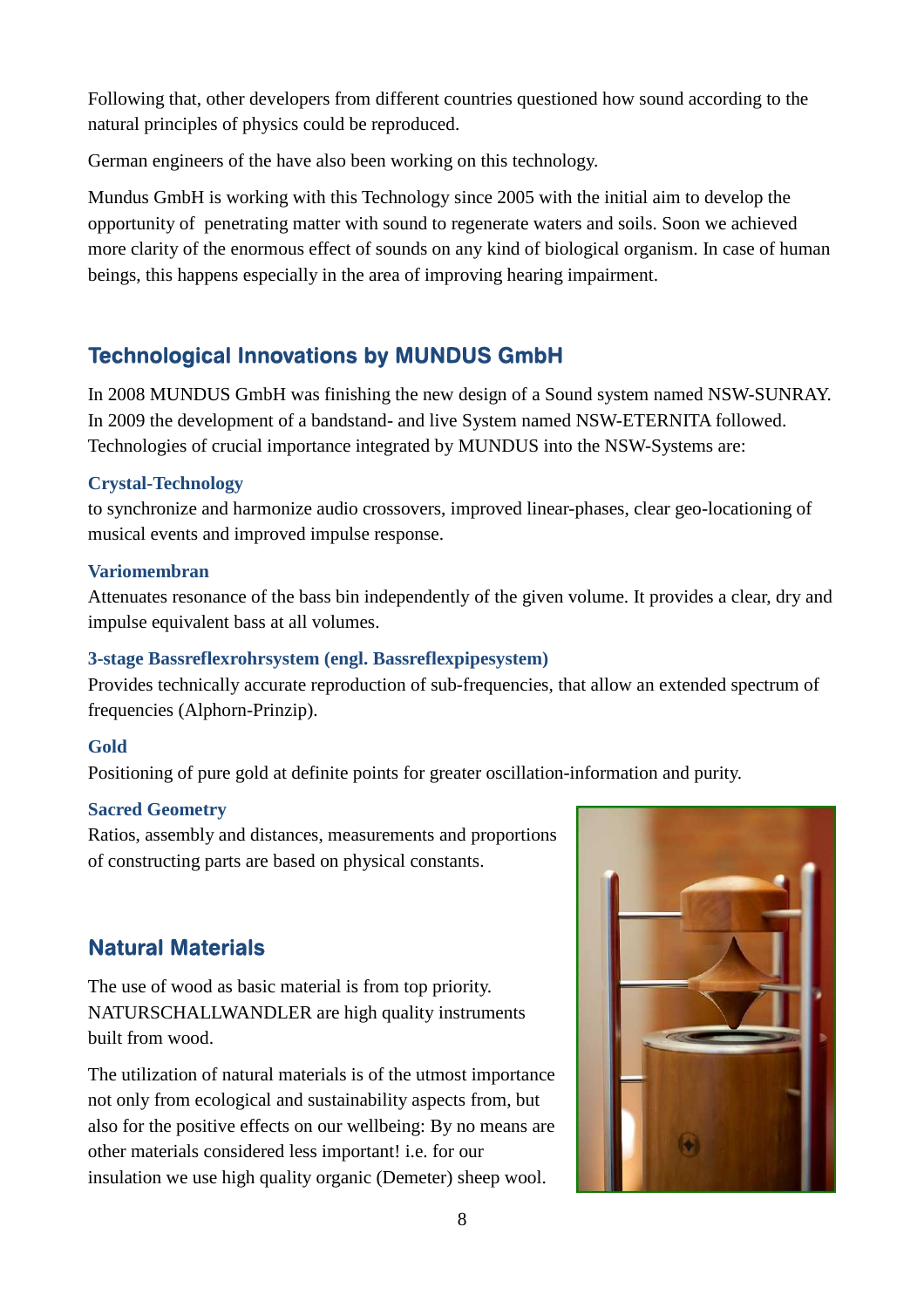Following that, other developers from different countries questioned how sound according to the natural principles of physics could be reproduced.

German engineers of the have also been working on this technology.

Mundus GmbH is working with this Technology since 2005 with the initial aim to develop the opportunity of penetrating matter with sound to regenerate waters and soils. Soon we achieved more clarity of the enormous effect of sounds on any kind of biological organism. In case of human beings, this happens especially in the area of improving hearing impairment.

# Technological Innovations by MUNDUS GmbH

In 2008 MUNDUS GmbH was finishing the new design of a Sound system named NSW-SUNRAY. In 2009 the development of a bandstand- and live System named NSW-ETERNITA followed. Technologies of crucial importance integrated by MUNDUS into the NSW-Systems are:

#### **Crystal-Technology**

to synchronize and harmonize audio crossovers, improved linear-phases, clear geo-locationing of musical events and improved impulse response.

#### **Variomembran**

Attenuates resonance of the bass bin independently of the given volume. It provides a clear, dry and impulse equivalent bass at all volumes.

#### **3-stage Bassreflexrohrsystem (engl. Bassreflexpipesystem)**

Provides technically accurate reproduction of sub-frequencies, that allow an extended spectrum of frequencies (Alphorn-Prinzip).

#### **Gold**

Positioning of pure gold at definite points for greater oscillation-information and purity.

#### **Sacred Geometry**

Ratios, assembly and distances, measurements and proportions of constructing parts are based on physical constants.

# Natural Materials

The use of wood as basic material is from top priority. NATURSCHALLWANDLER are high quality instruments built from wood.

The utilization of natural materials is of the utmost importance not only from ecological and sustainability aspects from, but also for the positive effects on our wellbeing: By no means are other materials considered less important! i.e. for our insulation we use high quality organic (Demeter) sheep wool.